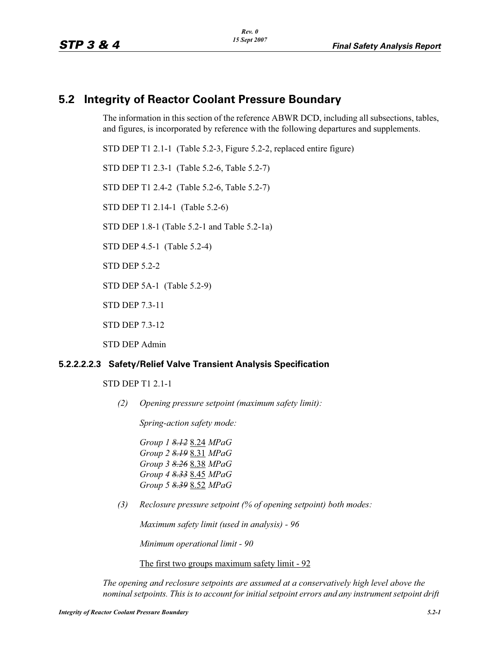# **5.2 Integrity of Reactor Coolant Pressure Boundary**

The information in this section of the reference ABWR DCD, including all subsections, tables, and figures, is incorporated by reference with the following departures and supplements.

STD DEP T1 2.1-1 (Table 5.2-3, Figure 5.2-2, replaced entire figure)

STD DEP T1 2.3-1 (Table 5.2-6, Table 5.2-7)

STD DEP T1 2.4-2 (Table 5.2-6, Table 5.2-7)

STD DEP T1 2.14-1 (Table 5.2-6)

STD DEP 1.8-1 (Table 5.2-1 and Table 5.2-1a)

STD DEP 4.5-1 (Table 5.2-4)

STD DEP 5.2-2

STD DEP 5A-1 (Table 5.2-9)

STD DEP 7.3-11

STD DEP 7.3-12

STD DEP Admin

#### **5.2.2.2.2.3 Safety/Relief Valve Transient Analysis Specification**

STD DEP T1 2.1-1

*(2) Opening pressure setpoint (maximum safety limit):*

*Spring-action safety mode:*

*Group 1 8.12* 8.24 *MPaG Group 2 8.19* 8.31 *MPaG Group 3 8.26* 8.38 *MPaG Group 4 8.33* 8.45 *MPaG Group 5 8.39* 8.52 *MPaG*

*(3) Reclosure pressure setpoint (% of opening setpoint) both modes:*

*Maximum safety limit (used in analysis) - 96*

*Minimum operational limit - 90*

The first two groups maximum safety limit - 92

*The opening and reclosure setpoints are assumed at a conservatively high level above the nominal setpoints. This is to account for initial setpoint errors and any instrument setpoint drift*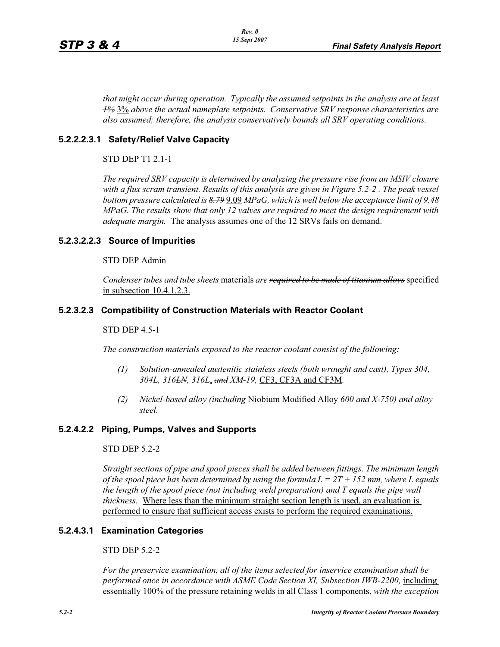*that might occur during operation. Typically the assumed setpoints in the analysis are at least 1%* 3% *above the actual nameplate setpoints. Conservative SRV response characteristics are also assumed; therefore, the analysis conservatively bounds all SRV operating conditions.* 

## **5.2.2.2.3.1 Safety/Relief Valve Capacity**

STD DEP T1 2.1-1

*The required SRV capacity is determined by analyzing the pressure rise from an MSIV closure with a flux scram transient. Results of this analysis are given in Figure 5.2-2 . The peak vessel bottom pressure calculated is 8.79* 9.09 *MPaG, which is well below the acceptance limit of 9.48 MPaG. The results show that only 12 valves are required to meet the design requirement with adequate margin.* The analysis assumes one of the 12 SRVs fails on demand.

#### **5.2.3.2.2.3 Source of Impurities**

#### STD DEP Admin

*Condenser tubes and tube sheets* materials *are required to be made of titanium alloys* specified in subsection 10.4.1.2.3.

#### **5.2.3.2.3 Compatibility of Construction Materials with Reactor Coolant**

#### STD DEP 4.5-1

*The construction materials exposed to the reactor coolant consist of the following:*

- *(1) Solution-annealed austenitic stainless steels (both wrought and cast), Types 304, 304L, 316LN, 316L*, *and XM-19,* CF3, CF3A and CF3M*.*
- *(2) Nickel-based alloy (including* Niobium Modified Alloy *600 and X-750) and alloy steel.*

#### **5.2.4.2.2 Piping, Pumps, Valves and Supports**

#### STD DEP 5.2-2

*Straight sections of pipe and spool pieces shall be added between fittings. The minimum length of the spool piece has been determined by using the formula L = 2T + 152 mm, where L equals the length of the spool piece (not including weld preparation) and T equals the pipe wall thickness.* Where less than the minimum straight section length is used, an evaluation is performed to ensure that sufficient access exists to perform the required examinations.

#### **5.2.4.3.1 Examination Categories**

#### STD DEP 5.2-2

*For the preservice examination, all of the items selected for inservice examination shall be performed once in accordance with ASME Code Section XI, Subsection IWB-2200, including* essentially 100% of the pressure retaining welds in all Class 1 components, *with the exception*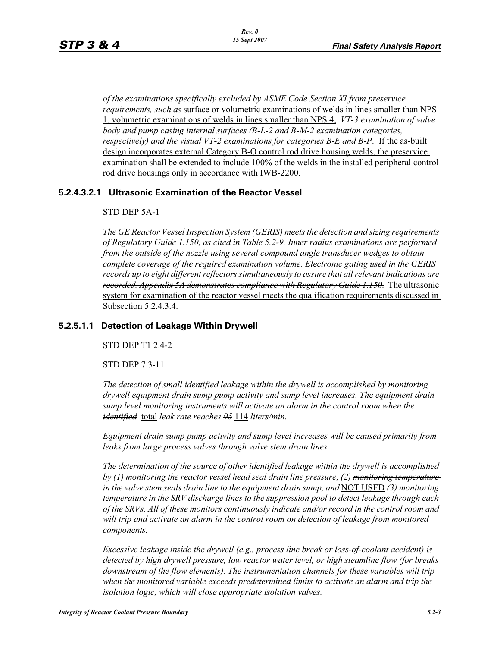*of the examinations specifically excluded by ASME Code Section XI from preservice requirements, such as* surface or volumetric examinations of welds in lines smaller than NPS 1, volumetric examinations of welds in lines smaller than NPS 4, *VT-3 examination of valve body and pump casing internal surfaces (B-L-2 and B-M-2 examination categories, respectively) and the visual VT-2 examinations for categories B-E and B-P*. If the as-built design incorporates external Category B-O control rod drive housing welds, the preservice examination shall be extended to include 100% of the welds in the installed peripheral control rod drive housings only in accordance with IWB-2200.

#### **5.2.4.3.2.1 Ultrasonic Examination of the Reactor Vessel**

#### STD DEP 5A-1

*The GE Reactor Vessel Inspection System (GERIS) meets the detection and sizing requirements of Regulatory Guide 1.150, as cited in Table 5.2-9. Inner radius examinations are performed from the outside of the nozzle using several compound angle transducer wedges to obtain complete coverage of the required examination volume. Electronic gating used in the GERIS records up to eight different reflectors simultaneously to assure that all relevant indications are recorded. Appendix 5A demonstrates compliance with Regulatory Guide 1.150.* The ultrasonic system for examination of the reactor vessel meets the qualification requirements discussed in Subsection 5.2.4.3.4.

#### **5.2.5.1.1 Detection of Leakage Within Drywell**

STD DEP T1 2.4-2

STD DEP 7.3-11

*The detection of small identified leakage within the drywell is accomplished by monitoring drywell equipment drain sump pump activity and sump level increases. The equipment drain sump level monitoring instruments will activate an alarm in the control room when the identified* total *leak rate reaches 95* 114 *liters/min.*

*Equipment drain sump pump activity and sump level increases will be caused primarily from leaks from large process valves through valve stem drain lines.*

*The determination of the source of other identified leakage within the drywell is accomplished by (1) monitoring the reactor vessel head seal drain line pressure, (2) monitoring temperature in the valve stem seals drain line to the equipment drain sump, and* NOT USED *(3) monitoring temperature in the SRV discharge lines to the suppression pool to detect leakage through each of the SRVs. All of these monitors continuously indicate and/or record in the control room and*  will trip and activate an alarm in the control room on detection of leakage from monitored *components.* 

*Excessive leakage inside the drywell (e.g., process line break or loss-of-coolant accident) is detected by high drywell pressure, low reactor water level, or high steamline flow (for breaks*  downstream of the flow elements). The instrumentation channels for these variables will trip *when the monitored variable exceeds predetermined limits to activate an alarm and trip the isolation logic, which will close appropriate isolation valves.*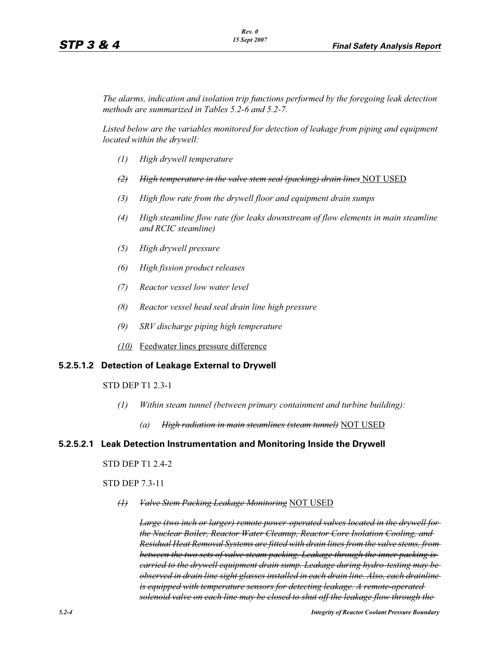*The alarms, indication and isolation trip functions performed by the foregoing leak detection methods are summarized in Tables 5.2-6 and 5.2-7.*

*Listed below are the variables monitored for detection of leakage from piping and equipment located within the drywell:*

- *(1) High drywell temperature*
- *(2) High temperature in the valve stem seal (packing) drain lines* NOT USED
- *(3) High flow rate from the drywell floor and equipment drain sumps*
- *(4) High steamline flow rate (for leaks downstream of flow elements in main steamline and RCIC steamline)*
- *(5) High drywell pressure*
- *(6) High fission product releases*
- *(7) Reactor vessel low water level*
- *(8) Reactor vessel head seal drain line high pressure*
- *(9) SRV discharge piping high temperature*
- *(10)* Feedwater lines pressure difference

#### **5.2.5.1.2 Detection of Leakage External to Drywell**

STD DEP T1 2.3-1

- *(1) Within steam tunnel (between primary containment and turbine building):*
	- *(a) High radiation in main steamlines (steam tunnel)* NOT USED

#### **5.2.5.2.1 Leak Detection Instrumentation and Monitoring Inside the Drywell**

STD DEP T1 2.4-2

STD DEP 7.3-11

*(1) Valve Stem Packing Leakage Monitoring* NOT USED

*Large (two inch or larger) remote power-operated valves located in the drywell for the Nuclear Boiler, Reactor Water Cleanup, Reactor Core Isolation Cooling, and Residual Heat Removal Systems are fitted with drain lines from the valve stems, from between the two sets of valve steam packing. Leakage through the inner packing is carried to the drywell equipment drain sump. Leakage during hydro-testing may be observed in drain line sight glasses installed in each drain line. Also, each drainline is equipped with temperature sensors for detecting leakage. A remote-operated solenoid valve on each line may be closed to shut off the leakage flow through the*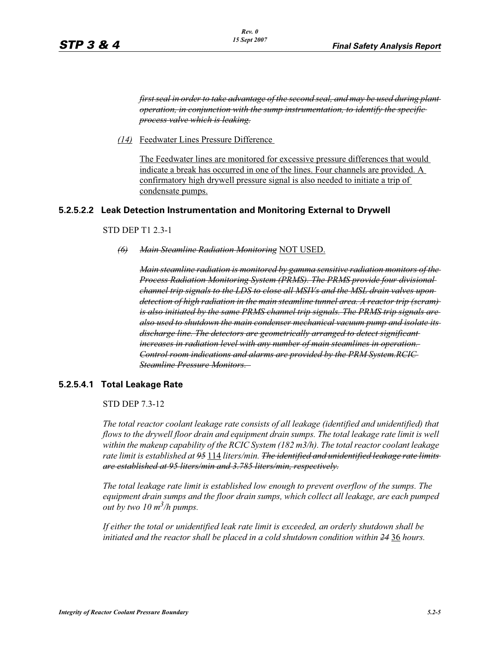*first seal in order to take advantage of the second seal, and may be used during plant operation, in conjunction with the sump instrumentation, to identify the specific process valve which is leaking.*

*(14)* Feedwater Lines Pressure Difference

The Feedwater lines are monitored for excessive pressure differences that would indicate a break has occurred in one of the lines. Four channels are provided. A confirmatory high drywell pressure signal is also needed to initiate a trip of condensate pumps.

#### **5.2.5.2.2 Leak Detection Instrumentation and Monitoring External to Drywell**

#### STD DEP T1 2.3-1

*(6) Main Steamline Radiation Monitoring* NOT USED.

*Main steamline radiation is monitored by gamma sensitive radiation monitors of the Process Radiation Monitoring System (PRMS). The PRMS provide four divisional channel trip signals to the LDS to close all MSIVs and the MSL drain valves upon detection of high radiation in the main steamline tunnel area. A reactor trip (scram) is also initiated by the same PRMS channel trip signals. The PRMS trip signals are also used to shutdown the main condenser mechanical vacuum pump and isolate its discharge line. The detectors are geometrically arranged to detect significant increases in radiation level with any number of main steamlines in operation. Control room indications and alarms are provided by the PRM System.RCIC Steamline Pressure Monitors.* 

#### **5.2.5.4.1 Total Leakage Rate**

STD DEP 7.3-12

*The total reactor coolant leakage rate consists of all leakage (identified and unidentified) that flows to the drywell floor drain and equipment drain sumps. The total leakage rate limit is well within the makeup capability of the RCIC System (182 m3/h). The total reactor coolant leakage rate limit is established at 95* 114 *liters/min. The identified and unidentified leakage rate limits are established at 95 liters/min and 3.785 liters/min, respectively.*

*The total leakage rate limit is established low enough to prevent overflow of the sumps. The equipment drain sumps and the floor drain sumps, which collect all leakage, are each pumped out by two 10 m3 /h pumps.*

*If either the total or unidentified leak rate limit is exceeded, an orderly shutdown shall be initiated and the reactor shall be placed in a cold shutdown condition within 24* 36 *hours.*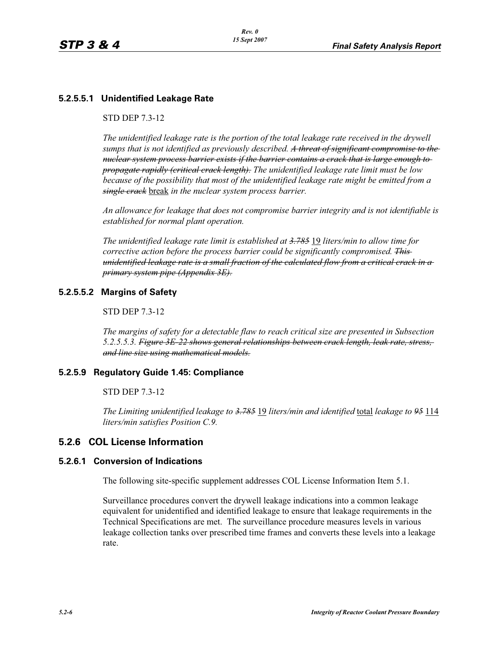# **5.2.5.5.1 Unidentified Leakage Rate**

#### STD DEP 7.3-12

*The unidentified leakage rate is the portion of the total leakage rate received in the drywell sumps that is not identified as previously described. A threat of significant compromise to the nuclear system process barrier exists if the barrier contains a crack that is large enough to propagate rapidly (critical crack length). The unidentified leakage rate limit must be low because of the possibility that most of the unidentified leakage rate might be emitted from a single crack* break *in the nuclear system process barrier.*

*An allowance for leakage that does not compromise barrier integrity and is not identifiable is established for normal plant operation.*

*The unidentified leakage rate limit is established at 3.785* 19 *liters/min to allow time for corrective action before the process barrier could be significantly compromised. This unidentified leakage rate is a small fraction of the calculated flow from a critical crack in a primary system pipe (Appendix 3E).*

## **5.2.5.5.2 Margins of Safety**

#### STD DEP 7.3-12

*The margins of safety for a detectable flaw to reach critical size are presented in Subsection 5.2.5.5.3. Figure 3E-22 shows general relationships between crack length, leak rate, stress, and line size using mathematical models.*

#### **5.2.5.9 Regulatory Guide 1.45: Compliance**

#### STD DEP 7.3-12

*The Limiting unidentified leakage to 3.785* 19 *liters/min and identified* total *leakage to 95* 114 *liters/min satisfies Position C.9.*

## **5.2.6 COL License Information**

#### **5.2.6.1 Conversion of Indications**

The following site-specific supplement addresses COL License Information Item 5.1.

Surveillance procedures convert the drywell leakage indications into a common leakage equivalent for unidentified and identified leakage to ensure that leakage requirements in the Technical Specifications are met. The surveillance procedure measures levels in various leakage collection tanks over prescribed time frames and converts these levels into a leakage rate.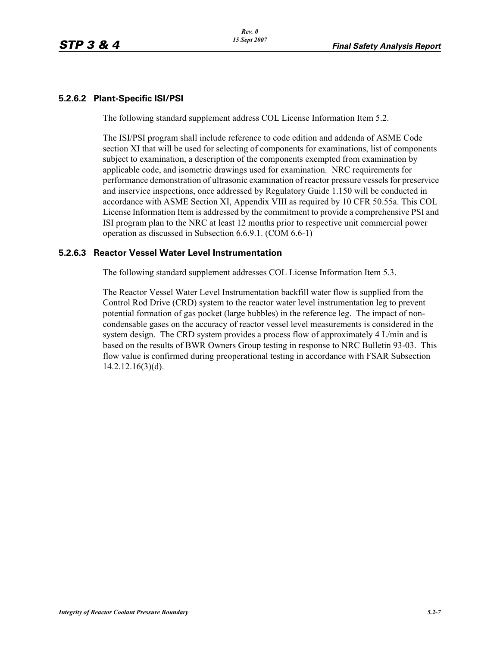## **5.2.6.2 Plant-Specific ISI/PSI**

The following standard supplement address COL License Information Item 5.2.

The ISI/PSI program shall include reference to code edition and addenda of ASME Code section XI that will be used for selecting of components for examinations, list of components subject to examination, a description of the components exempted from examination by applicable code, and isometric drawings used for examination. NRC requirements for performance demonstration of ultrasonic examination of reactor pressure vessels for preservice and inservice inspections, once addressed by Regulatory Guide 1.150 will be conducted in accordance with ASME Section XI, Appendix VIII as required by 10 CFR 50.55a. This COL License Information Item is addressed by the commitment to provide a comprehensive PSI and ISI program plan to the NRC at least 12 months prior to respective unit commercial power operation as discussed in Subsection 6.6.9.1. (COM 6.6-1)

#### **5.2.6.3 Reactor Vessel Water Level Instrumentation**

The following standard supplement addresses COL License Information Item 5.3.

The Reactor Vessel Water Level Instrumentation backfill water flow is supplied from the Control Rod Drive (CRD) system to the reactor water level instrumentation leg to prevent potential formation of gas pocket (large bubbles) in the reference leg. The impact of noncondensable gases on the accuracy of reactor vessel level measurements is considered in the system design. The CRD system provides a process flow of approximately 4 L/min and is based on the results of BWR Owners Group testing in response to NRC Bulletin 93-03. This flow value is confirmed during preoperational testing in accordance with FSAR Subsection 14.2.12.16(3)(d).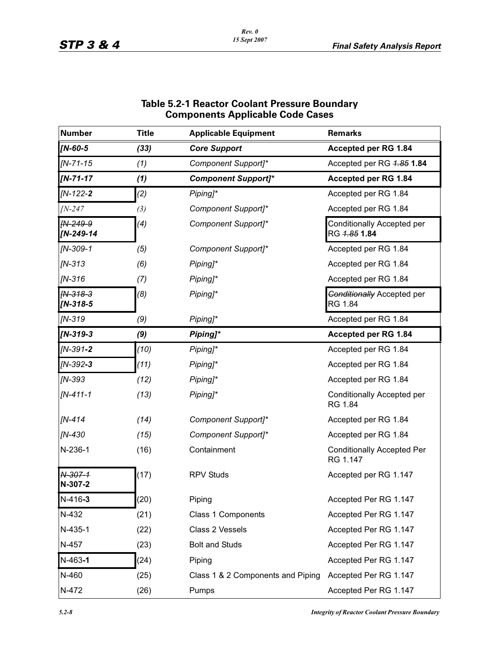| <b>Number</b>         | <b>Title</b> | <b>Applicable Equipment</b>       | <b>Remarks</b>                                |
|-----------------------|--------------|-----------------------------------|-----------------------------------------------|
| $IN-60-5$             | (33)         | <b>Core Support</b>               | Accepted per RG 1.84                          |
| $IN - 71 - 15$        | (1)          | Component Support]*               | Accepted per RG 4.85 1.84                     |
| $IN - 71 - 17$        | (1)          | <b>Component Support]*</b>        | Accepted per RG 1.84                          |
| $IN-122-2$            | (2)          | Piping]*                          | Accepted per RG 1.84                          |
| $IN-247$              | (3)          | Component Support]*               | Accepted per RG 1.84                          |
| IN-249-9<br>[N-249-14 | (4)          | Component Support]*               | Conditionally Accepted per<br>RG 4.85 1.84    |
| $IN-309-1$            | (5)          | Component Support]*               | Accepted per RG 1.84                          |
| $IN-313$              | (6)          | Piping]*                          | Accepted per RG 1.84                          |
| $IN-316$              | (7)          | Piping]*                          | Accepted per RG 1.84                          |
| IN-318-3<br>[N-318-5  | (8)          | Piping]*                          | <b>Conditionally Accepted per</b><br>RG 1.84  |
| $IN-319$              | (9)          | Piping]*                          | Accepted per RG 1.84                          |
| $IN-319-3$            | (9)          | Piping]*                          | Accepted per RG 1.84                          |
| $IN-391-2$            | (10)         | Piping]*                          | Accepted per RG 1.84                          |
| $IN-392-3$            | (11)         | Piping]*                          | Accepted per RG 1.84                          |
| $IN-393$              | (12)         | Piping]*                          | Accepted per RG 1.84                          |
| $IN-411-1$            | (13)         | Piping]*                          | Conditionally Accepted per<br>RG 1.84         |
| $IN-414$              | (14)         | Component Support]*               | Accepted per RG 1.84                          |
| $IN-430$              | (15)         | Component Support]*               | Accepted per RG 1.84                          |
| N-236-1               | (16)         | Containment                       | <b>Conditionally Accepted Per</b><br>RG 1.147 |
| N-307-1<br>N-307-2    | (17)         | <b>RPV Studs</b>                  | Accepted per RG 1.147                         |
| $N-416-3$             | (20)         | Piping                            | Accepted Per RG 1.147                         |
| N-432                 | (21)         | Class 1 Components                | Accepted Per RG 1.147                         |
| $N-435-1$             | (22)         | Class 2 Vessels                   | Accepted Per RG 1.147                         |
| N-457                 | (23)         | <b>Bolt and Studs</b>             | Accepted Per RG 1.147                         |
| $N-463-1$             | (24)         | Piping                            | Accepted Per RG 1.147                         |
| N-460                 | (25)         | Class 1 & 2 Components and Piping | Accepted Per RG 1.147                         |
| N-472                 | (26)         | Pumps                             | Accepted Per RG 1.147                         |

## **Table 5.2-1 Reactor Coolant Pressure Boundary Components Applicable Code Cases**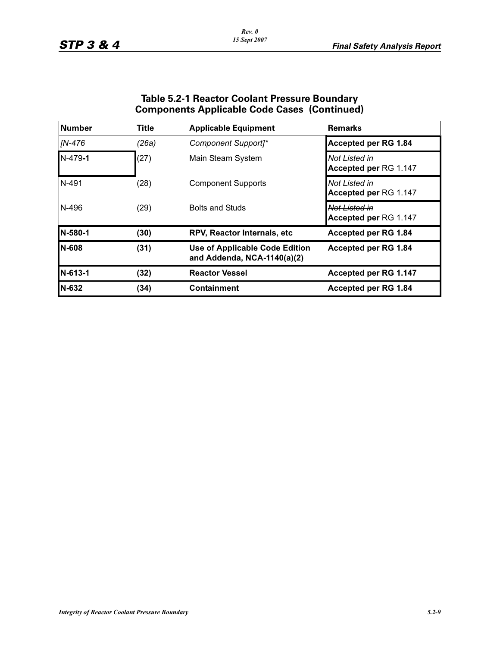| <b>Table 5.2-1 Reactor Coolant Pressure Boundary</b> |  |
|------------------------------------------------------|--|
| <b>Components Applicable Code Cases (Continued)</b>  |  |

| Number        | <b>Title</b> | <b>Applicable Equipment</b>                                          | <b>Remarks</b>                         |  |  |  |  |  |
|---------------|--------------|----------------------------------------------------------------------|----------------------------------------|--|--|--|--|--|
| [N-476]       | (26a)        | Component Support <sub>1</sub> *                                     | <b>Accepted per RG 1.84</b>            |  |  |  |  |  |
| $N-479-1$     | (27)         | Main Steam System                                                    | Not Listed in<br>Accepted per RG 1.147 |  |  |  |  |  |
| N-491         | (28)         | <b>Component Supports</b>                                            | Not Listed in<br>Accepted per RG 1.147 |  |  |  |  |  |
| N-496         | (29)         | <b>Bolts and Studs</b>                                               | Not Listed in<br>Accepted per RG 1.147 |  |  |  |  |  |
| N-580-1       | (30)         | <b>RPV, Reactor Internals, etc.</b>                                  | Accepted per RG 1.84                   |  |  |  |  |  |
| <b>IN-608</b> | (31)         | <b>Use of Applicable Code Edition</b><br>and Addenda, NCA-1140(a)(2) | Accepted per RG 1.84                   |  |  |  |  |  |
| N-613-1       | (32)         | <b>Reactor Vessel</b>                                                | Accepted per RG 1.147                  |  |  |  |  |  |
| N-632         | (34)         | <b>Containment</b>                                                   | Accepted per RG 1.84                   |  |  |  |  |  |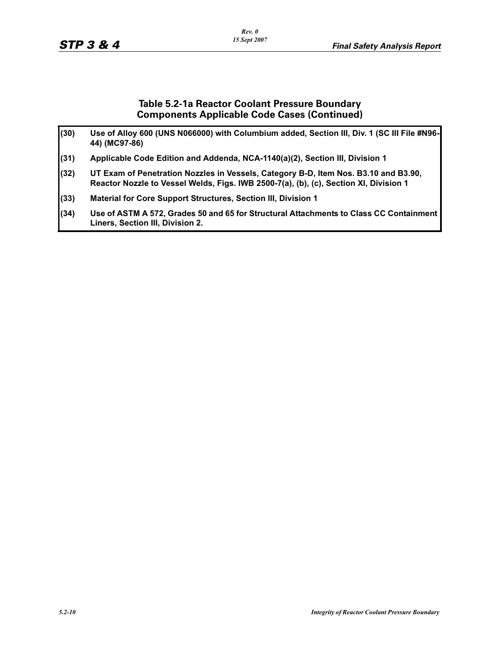## **Table 5.2-1a Reactor Coolant Pressure Boundary Components Applicable Code Cases (Continued)**

| (30) | Use of Alloy 600 (UNS N066000) with Columbium added, Section III, Div. 1 (SC III File #N96-<br>44) (MC97-86)                                                                 |
|------|------------------------------------------------------------------------------------------------------------------------------------------------------------------------------|
| (31) | Applicable Code Edition and Addenda, NCA-1140(a)(2), Section III, Division 1                                                                                                 |
| (32) | UT Exam of Penetration Nozzles in Vessels, Category B-D, Item Nos. B3.10 and B3.90,<br>Reactor Nozzle to Vessel Welds, Figs. IWB 2500-7(a), (b), (c), Section XI, Division 1 |
| (33) | Material for Core Support Structures, Section III, Division 1                                                                                                                |
| (34) | Use of ASTM A 572, Grades 50 and 65 for Structural Attachments to Class CC Containment<br>Liners, Section III, Division 2.                                                   |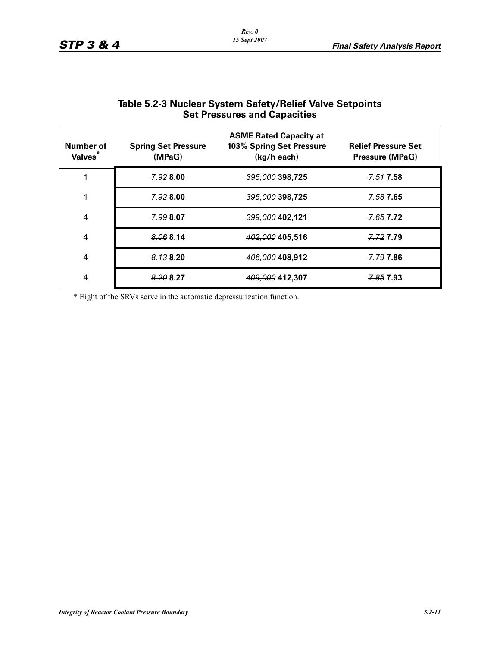| Number of<br>Valves <sup>*</sup> | <b>Spring Set Pressure</b><br>(MPaG) | <b>ASME Rated Capacity at</b><br>103% Spring Set Pressure<br>(kg/h each) | <b>Relief Pressure Set</b><br><b>Pressure (MPaG)</b> |
|----------------------------------|--------------------------------------|--------------------------------------------------------------------------|------------------------------------------------------|
|                                  | 7.92800                              | 395,000 398,725                                                          | <del>7.51</del> 7.58                                 |
|                                  | 7.92800                              | $395,000$ 398,725                                                        | 7.58 7.65                                            |
| $\overline{4}$                   | 7.99807                              | <del>399,000</del> 402,121                                               | <del>7.65</del> 7.72                                 |
| $\overline{4}$                   | 8.068.14                             | 402,000 405,516                                                          | 7.72 7.79                                            |
| $\overline{4}$                   | 8.138.20                             | 406,000 408,912                                                          | 7.79 7.86                                            |
| 4                                | 8.208.27                             | 409,000 412,307                                                          | <del>7.85</del> 7.93                                 |

# **Table 5.2-3 Nuclear System Safety/Relief Valve Setpoints Set Pressures and Capacities**

\* Eight of the SRVs serve in the automatic depressurization function.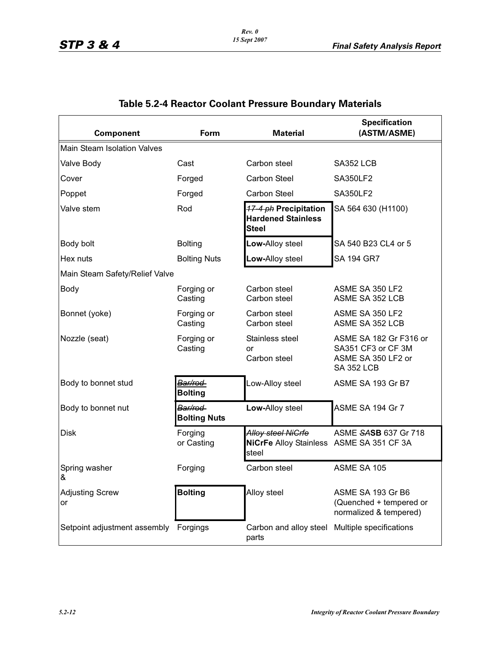| <b>Component</b>                      | Form                            | <b>Material</b>                                                                | <b>Specification</b><br>(ASTM/ASME)                                                     |
|---------------------------------------|---------------------------------|--------------------------------------------------------------------------------|-----------------------------------------------------------------------------------------|
| <b>Main Steam Isolation Valves</b>    |                                 |                                                                                |                                                                                         |
| Valve Body                            | Cast                            | Carbon steel                                                                   | SA352 LCB                                                                               |
| Cover                                 | Forged                          | <b>Carbon Steel</b>                                                            | <b>SA350LF2</b>                                                                         |
| Poppet                                | Forged                          | <b>Carbon Steel</b>                                                            | <b>SA350LF2</b>                                                                         |
| Valve stem                            | Rod                             | <b>17-4 ph Precipitation</b><br><b>Hardened Stainless</b><br><b>Steel</b>      | SA 564 630 (H1100)                                                                      |
| Body bolt                             | <b>Bolting</b>                  | Low-Alloy steel                                                                | SA 540 B23 CL4 or 5                                                                     |
| Hex nuts                              | <b>Bolting Nuts</b>             | Low-Alloy steel                                                                | SA 194 GR7                                                                              |
| Main Steam Safety/Relief Valve        |                                 |                                                                                |                                                                                         |
| <b>Body</b>                           | Forging or<br>Casting           | Carbon steel<br>Carbon steel                                                   | ASME SA 350 LF2<br>ASME SA 352 LCB                                                      |
| Bonnet (yoke)                         | Forging or<br>Casting           | Carbon steel<br>Carbon steel                                                   | ASME SA 350 LF2<br>ASME SA 352 LCB                                                      |
| Nozzle (seat)                         | Forging or<br>Casting           | Stainless steel<br>or<br>Carbon steel                                          | ASME SA 182 Gr F316 or<br>SA351 CF3 or CF 3M<br>ASME SA 350 LF2 or<br><b>SA 352 LCB</b> |
| Body to bonnet stud                   | Bar/rod<br><b>Bolting</b>       | Low-Alloy steel                                                                | ASME SA 193 Gr B7                                                                       |
| Body to bonnet nut                    | Bar/rod-<br><b>Bolting Nuts</b> | Low-Alloy steel                                                                | ASME SA 194 Gr 7                                                                        |
| <b>Disk</b>                           | Forging<br>or Casting           | <b>Alloy steel NiGrfe</b><br>NiCrFe Alloy Stainless ASME SA 351 CF 3A<br>steel | ASME SASB 637 Gr 718                                                                    |
| Spring washer<br>&                    | Forging                         | Carbon steel                                                                   | ASME SA 105                                                                             |
| <b>Adjusting Screw</b><br>or          | <b>Bolting</b>                  | Alloy steel                                                                    | ASME SA 193 Gr B6<br>(Quenched + tempered or<br>normalized & tempered)                  |
| Setpoint adjustment assembly Forgings |                                 | Carbon and alloy steel Multiple specifications<br>parts                        |                                                                                         |

# **Table 5.2-4 Reactor Coolant Pressure Boundary Materials**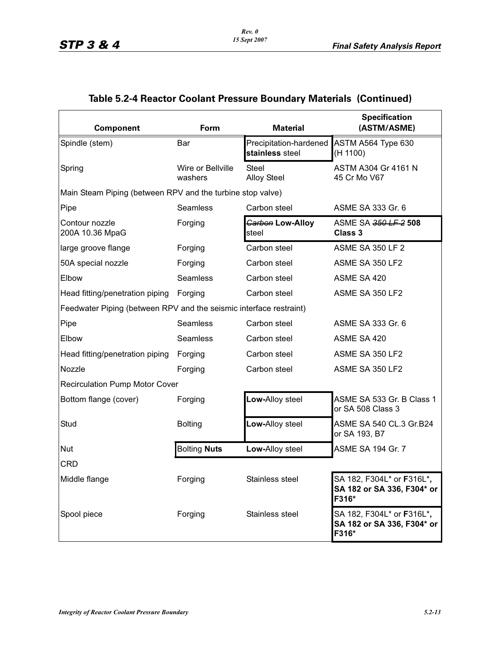# **Table 5.2-4 Reactor Coolant Pressure Boundary Materials (Continued)**

| <b>Component</b>                                                   | Form                         | <b>Material</b>                           | <b>Specification</b><br>(ASTM/ASME)                              |
|--------------------------------------------------------------------|------------------------------|-------------------------------------------|------------------------------------------------------------------|
| Spindle (stem)                                                     | Bar                          | Precipitation-hardened<br>stainless steel | ASTM A564 Type 630<br>(H 1100)                                   |
| Spring                                                             | Wire or Bellville<br>washers | <b>Steel</b><br><b>Alloy Steel</b>        | ASTM A304 Gr 4161 N<br>45 Cr Mo V67                              |
| Main Steam Piping (between RPV and the turbine stop valve)         |                              |                                           |                                                                  |
| Pipe                                                               | Seamless                     | Carbon steel                              | ASME SA 333 Gr. 6                                                |
| Contour nozzle<br>200A 10.36 MpaG                                  | Forging                      | Garbon Low-Alloy<br>steel                 | ASME SA 350 LF 2 508<br><b>Class 3</b>                           |
| large groove flange                                                | Forging                      | Carbon steel                              | <b>ASME SA 350 LF 2</b>                                          |
| 50A special nozzle                                                 | Forging                      | Carbon steel                              | ASME SA 350 LF2                                                  |
| Elbow                                                              | Seamless                     | Carbon steel                              | ASME SA 420                                                      |
| Head fitting/penetration piping Forging                            |                              | Carbon steel                              | ASME SA 350 LF2                                                  |
| Feedwater Piping (between RPV and the seismic interface restraint) |                              |                                           |                                                                  |
| Pipe                                                               | Seamless                     | Carbon steel                              | ASME SA 333 Gr. 6                                                |
| Elbow                                                              | Seamless                     | Carbon steel                              | ASME SA 420                                                      |
| Head fitting/penetration piping                                    | Forging                      | Carbon steel                              | ASME SA 350 LF2                                                  |
| Nozzle                                                             | Forging                      | Carbon steel                              | ASME SA 350 LF2                                                  |
| <b>Recirculation Pump Motor Cover</b>                              |                              |                                           |                                                                  |
| Bottom flange (cover)                                              | Forging                      | Low-Alloy steel                           | ASME SA 533 Gr. B Class 1<br>or SA 508 Class 3                   |
| Stud                                                               | <b>Bolting</b>               | Low-Alloy steel                           | ASME SA 540 CL.3 Gr.B24<br>or SA 193, B7                         |
| <b>Nut</b>                                                         | <b>Bolting Nuts</b>          | Low-Alloy steel                           | <b>ASME SA 194 Gr. 7</b>                                         |
| CRD                                                                |                              |                                           |                                                                  |
| Middle flange                                                      | Forging                      | Stainless steel                           | SA 182, F304L* or F316L*,<br>SA 182 or SA 336, F304* or<br>F316* |
| Spool piece                                                        | Forging                      | Stainless steel                           | SA 182, F304L* or F316L*,<br>SA 182 or SA 336, F304* or<br>F316* |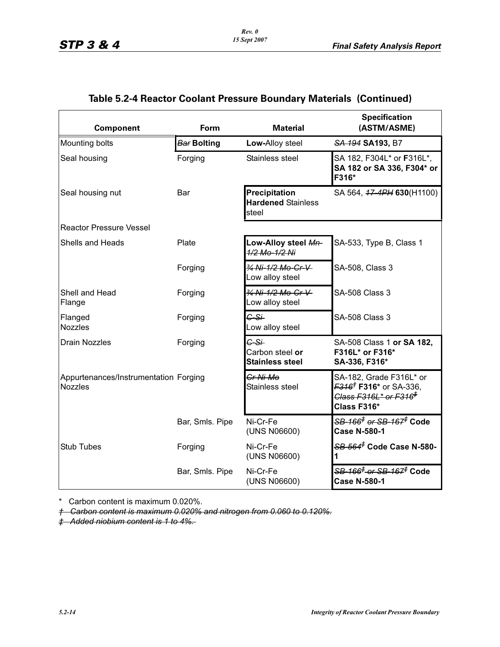# **Table 5.2-4 Reactor Coolant Pressure Boundary Materials (Continued)**

| <b>Component</b>                                        | Form               | <b>Material</b>                                     | <b>Specification</b><br>(ASTM/ASME)                                                                                                   |
|---------------------------------------------------------|--------------------|-----------------------------------------------------|---------------------------------------------------------------------------------------------------------------------------------------|
| Mounting bolts                                          | <b>Bar Bolting</b> | Low-Alloy steel                                     | SA 194 SA 193, B7                                                                                                                     |
| Seal housing                                            | Forging            | Stainless steel                                     | SA 182, F304L* or F316L*,<br>SA 182 or SA 336, F304* or<br>F316*                                                                      |
| Seal housing nut                                        | Bar                | Precipitation<br><b>Hardened Stainless</b><br>steel | SA 564, 47-4PH 630(H1100)                                                                                                             |
| <b>Reactor Pressure Vessel</b>                          |                    |                                                     |                                                                                                                                       |
| <b>Shells and Heads</b>                                 | Plate              | Low-Alloy steel Mn-<br>1/2 Mo-1/2 Ni                | SA-533, Type B, Class 1                                                                                                               |
|                                                         | Forging            | 34 Ni-1/2 Mo-Cr-V-<br>Low alloy steel               | SA-508, Class 3                                                                                                                       |
| Shell and Head<br>Flange                                | Forging            | 34 Ni-1/2 Mo-Cr-V<br>Low alloy steel                | <b>SA-508 Class 3</b>                                                                                                                 |
| Flanged<br><b>Nozzles</b>                               | Forging            | $G-S+$<br>Low alloy steel                           | <b>SA-508 Class 3</b>                                                                                                                 |
| <b>Drain Nozzles</b>                                    | Forging            | $G-S+$<br>Carbon steel or<br><b>Stainless steel</b> | SA-508 Class 1 or SA 182,<br>F316L* or F316*<br>SA-336, F316*                                                                         |
| Appurtenances/Instrumentation Forging<br><b>Nozzles</b> |                    | Cr-Ni-Mo<br>Stainless steel                         | SA-182, Grade F316L* or<br><del>F316<sup>†</sup></del> F316* or SA-336,<br><del>Class F316L* or F316<sup>‡</sup></del><br>Class F316* |
|                                                         | Bar, Smls. Pipe    | Ni-Cr-Fe<br>(UNS N06600)                            | <del>SB 166<sup>≢</sup> or SB 167<sup>≢</sup> Code</del><br><b>Case N-580-1</b>                                                       |
| <b>Stub Tubes</b>                                       | Forging            | Ni-Cr-Fe<br>(UNS N06600)                            | <del>SB 564<sup>≢</sup> Code Case N-580-</del><br>1                                                                                   |
|                                                         | Bar, Smls. Pipe    | Ni-Cr-Fe<br>(UNS N06600)                            | <del>SB-166<sup>‡</sup> or SB-167<sup>≢</sup> Code</del><br><b>Case N-580-1</b>                                                       |

\* Carbon content is maximum 0.020%.

*† Carbon content is maximum 0.020% and nitrogen from 0.060 to 0.120%.*

*‡ Added niobium content is 1 to 4%.*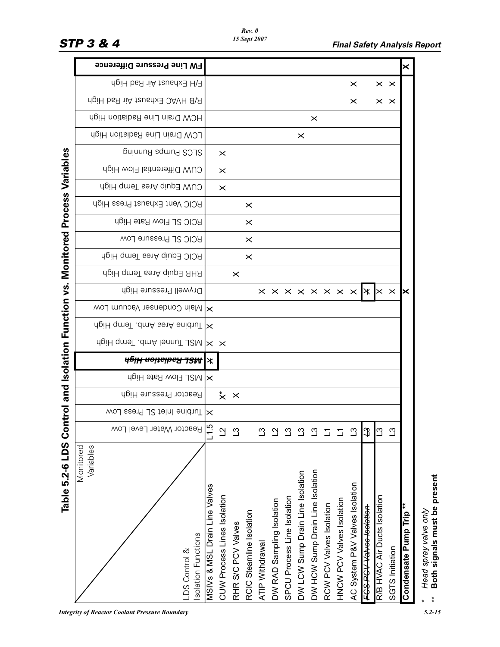|                                    | <b>FW Line Pressure Difference</b>                            |                               |                             |                    |                          |                 |                           |                             |                                  |                                  |                          |                           |                                |                          |                              |                 | $\boldsymbol{\times}$              |
|------------------------------------|---------------------------------------------------------------|-------------------------------|-----------------------------|--------------------|--------------------------|-----------------|---------------------------|-----------------------------|----------------------------------|----------------------------------|--------------------------|---------------------------|--------------------------------|--------------------------|------------------------------|-----------------|------------------------------------|
|                                    | F/H Exhaust Air Rad High                                      |                               |                             |                    |                          |                 |                           |                             |                                  |                                  |                          |                           | $\times$                       |                          | $\times$ $\times$            |                 |                                    |
|                                    | R/B HVAC Exhaust Air Rad High                                 |                               |                             |                    |                          |                 |                           |                             |                                  |                                  |                          |                           | $\times$                       |                          | $\times$ $\times$            |                 |                                    |
|                                    | HCW Drain Line Radiation High                                 |                               |                             |                    |                          |                 |                           |                             |                                  | $\times$                         |                          |                           |                                |                          |                              |                 |                                    |
|                                    | LCW Drain Line Radiation High                                 |                               |                             |                    |                          |                 |                           |                             | $\times$                         |                                  |                          |                           |                                |                          |                              |                 |                                    |
|                                    | SLCS Punna Bunning                                            |                               | $\times$                    |                    |                          |                 |                           |                             |                                  |                                  |                          |                           |                                |                          |                              |                 |                                    |
|                                    | CUW Differential Flow High                                    |                               | $\times$                    |                    |                          |                 |                           |                             |                                  |                                  |                          |                           |                                |                          |                              |                 |                                    |
|                                    | dgiH qmeT senA qiup3 WUO                                      |                               | $\times$                    |                    |                          |                 |                           |                             |                                  |                                  |                          |                           |                                |                          |                              |                 |                                    |
|                                    | RCIC Vent Exhaust Press High                                  |                               |                             |                    | $\times$                 |                 |                           |                             |                                  |                                  |                          |                           |                                |                          |                              |                 |                                    |
|                                    | RCIC SL Flow Rate High                                        |                               |                             |                    | $\times$                 |                 |                           |                             |                                  |                                  |                          |                           |                                |                          |                              |                 |                                    |
| <b>Monitored Process Variables</b> | <b>RCIC SL Pressure Low</b>                                   |                               |                             |                    | $\times$                 |                 |                           |                             |                                  |                                  |                          |                           |                                |                          |                              |                 |                                    |
|                                    | RCIC Equip Area Temp High                                     |                               |                             |                    | $\times$                 |                 |                           |                             |                                  |                                  |                          |                           |                                |                          |                              |                 |                                    |
|                                    | ngiH qmeT senA qiup3 AHR                                      |                               |                             | $\times$           |                          |                 |                           |                             |                                  |                                  |                          |                           |                                |                          |                              |                 |                                    |
|                                    | Drywell Pressure High                                         |                               |                             |                    |                          |                 |                           |                             |                                  |                                  |                          |                           |                                |                          |                              |                 | ×                                  |
|                                    | Main Condenser Vacuum Low                                     |                               |                             |                    |                          |                 |                           |                             |                                  |                                  |                          |                           |                                |                          |                              |                 |                                    |
|                                    | AllTurbine Area Amb. Temp High                                |                               |                             |                    |                          |                 |                           |                             |                                  |                                  |                          |                           |                                |                          |                              |                 |                                    |
|                                    | A MSL Tunnel Amb Homp High                                    |                               |                             |                    |                          |                 |                           |                             |                                  |                                  |                          |                           |                                |                          |                              |                 |                                    |
| and Isolation Function vs.         | ж <del>жән иорерген әніди</del>                               |                               |                             |                    |                          |                 |                           |                             |                                  |                                  |                          |                           |                                |                          |                              |                 |                                    |
|                                    | <b>XINSL FIOW Rate High</b>                                   |                               |                             |                    |                          |                 |                           |                             |                                  |                                  |                          |                           |                                |                          |                              |                 |                                    |
|                                    | Reactor Pressure High                                         |                               | $\dot{\times}$ $\times$     |                    |                          |                 |                           |                             |                                  |                                  |                          |                           |                                |                          |                              |                 |                                    |
| <b>Ichi</b>                        | woJ seard JS talni enidtuT  X                                 |                               |                             |                    |                          |                 |                           |                             |                                  |                                  |                          |                           |                                |                          |                              |                 |                                    |
|                                    | Reactor Water Level<br>LOW                                    | $-1.5$                        | $\overline{C}$              | ്വ                 |                          | $\mathfrak{L}$  |                           |                             |                                  | ്                                |                          | $\overline{\mathbb{Z}}$   | ്വ                             | $\mathfrak{L}$           | $\overline{3}$               | $\mathfrak{L}$  |                                    |
| Table 5.2-6 LDS Cor                | Monitored<br>Variables<br>solation Functions<br>LDS Control & | MSIVs & MSL Drain Line Valves | CUW Process Lines Isolation | RHR S/C PCV Valves | RCIC Steamline Isolation | ATIP Withdrawal | DW RAD Sampling Isolation | SPCU Process Line Isolation | DW LCW Sump Drain Line Isolation | DW HCW Sump Drain Line Isolation | RCW PCV Valves Isolation | HNCW PCV Valves Isolation | AC System P&V Valves Isolation | FCS PCV Valves Isolation | R/B HVAC Air Ducts Isolation | SGTS Initiation | Condensate Pump Trip <sup>**</sup> |

*Rev. 0 15 Sept 2007*

Head spray valve only<br>Both signals must be present *Head spray valve only*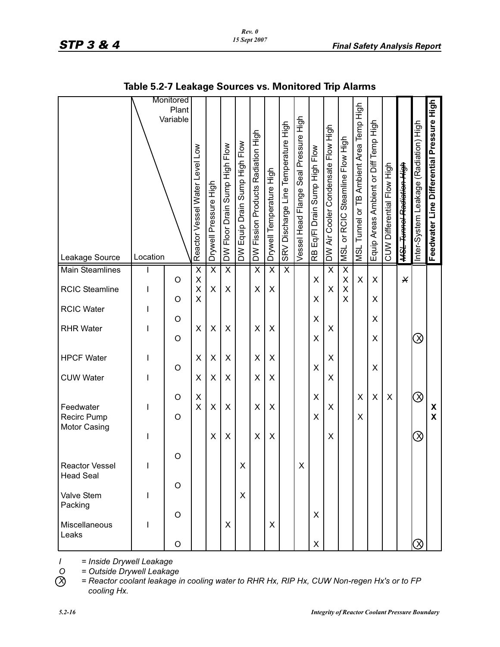# *STP 3 & 4 Final Safety Analysis Report*

| Pressure High<br>Feedwater Line Differential |                         |                       |                   |                  |           |                   |                  | X<br>$\overline{\mathsf{X}}$ |                     |                                    |                       |                        |           |
|----------------------------------------------|-------------------------|-----------------------|-------------------|------------------|-----------|-------------------|------------------|------------------------------|---------------------|------------------------------------|-----------------------|------------------------|-----------|
| Inter-System Leakage (Radiation) High        |                         |                       |                   |                  | $\otimes$ |                   |                  | $\oslash$                    | $\otimes$           |                                    |                       |                        | $\oslash$ |
| <del>MSL Tunnol Radiation High</del>         |                         | X                     |                   |                  |           |                   |                  |                              |                     |                                    |                       |                        |           |
| CUW Differential Flow High                   |                         |                       |                   |                  |           |                   |                  | X                            |                     |                                    |                       |                        |           |
| Equip Areas Ambient or Diff Temp High        |                         | $\pmb{\times}$        | X                 | X                | X         | X                 |                  | X                            |                     |                                    |                       |                        |           |
| MSL Tunnel or TB Ambient Area Temp High      |                         | X                     |                   |                  |           |                   |                  | X<br>X                       |                     |                                    |                       |                        |           |
| Steamline Flow High<br><b>MSL or RCIC</b>    | $\overline{\mathsf{x}}$ | X<br>X                | X                 |                  |           |                   |                  |                              |                     |                                    |                       |                        |           |
| DW Air Cooler Condensate Flow High           | $\overline{\sf x}$      | X                     |                   | X                |           | X                 | X                | X                            | X                   |                                    |                       |                        |           |
| Eq/FI Drain Sump High Flow<br><b>RB</b>      |                         | X                     | X                 | X                | X         | X                 |                  | X<br>X                       |                     |                                    |                       | X                      | X         |
| Vessel Head Flange Seal Pressure High        |                         |                       |                   |                  |           |                   |                  |                              |                     | X.                                 |                       |                        |           |
| SRV Discharge Line Temperature High          | $\overline{\mathsf{x}}$ |                       |                   |                  |           |                   |                  |                              |                     |                                    |                       |                        |           |
| Drywell Temperature High                     | $\overline{\mathsf{x}}$ | X                     |                   | X                |           | X                 | X                | X                            | X                   |                                    |                       | X                      |           |
| DW Fission Products Radiation High           | $\overline{\mathsf{x}}$ | X                     |                   | X                |           | X                 | X                | X                            | X                   |                                    |                       |                        |           |
| DW Equip Drain Sump High Flow                |                         |                       |                   |                  |           |                   |                  |                              |                     | X.                                 | X                     |                        |           |
| Sump High Flow<br>DW Floor Drain             | $\overline{\mathsf{x}}$ | X                     |                   | X                |           | X                 | X                | X                            | X                   |                                    |                       | X                      |           |
| Drywell Pressure High                        | $\overline{\mathsf{x}}$ | X                     |                   | $\pmb{\times}$   |           | $\pmb{\times}$    | $\pmb{\times}$   | $\pmb{\times}$               | X                   |                                    |                       |                        |           |
| Reactor Vessel Water Level Low               | $\overline{\mathsf{x}}$ | X<br>X                | X                 | X                |           | X                 | X                | X<br>X                       |                     |                                    |                       |                        |           |
| Monitored<br>Plant<br>Variable               |                         | O                     | O                 | O                | $\circ$   | O                 |                  | O<br>O                       |                     | O                                  | O                     | O                      | $\circ$   |
| Location                                     |                         | $\mathsf{I}$          | $\mathsf{I}$      | ı                |           | $\mathsf{l}$      | I                | $\mathsf{l}$                 | $\mathsf{I}$        | L                                  | I                     | I                      |           |
| Leakage Source                               | <b>Main Steamlines</b>  | <b>RCIC Steamline</b> | <b>RCIC Water</b> | <b>RHR Water</b> |           | <b>HPCF Water</b> | <b>CUW Water</b> | Feedwater<br>Recirc Pump     | <b>Motor Casing</b> | Reactor Vessel<br><b>Head Seal</b> | Valve Stem<br>Packing | Miscellaneous<br>Leaks |           |
|                                              |                         |                       |                   |                  |           |                   |                  |                              |                     |                                    |                       |                        |           |

# **Table 5.2-7 Leakage Sources vs. Monitored Trip Alarms**

*I = Inside Drywell Leakage*

*O = Outside Drywell Leakage X = Reactor coolant leakage in cooling water to RHR Hx, RIP Hx, CUW Non-regen Hx's or to FP cooling Hx.*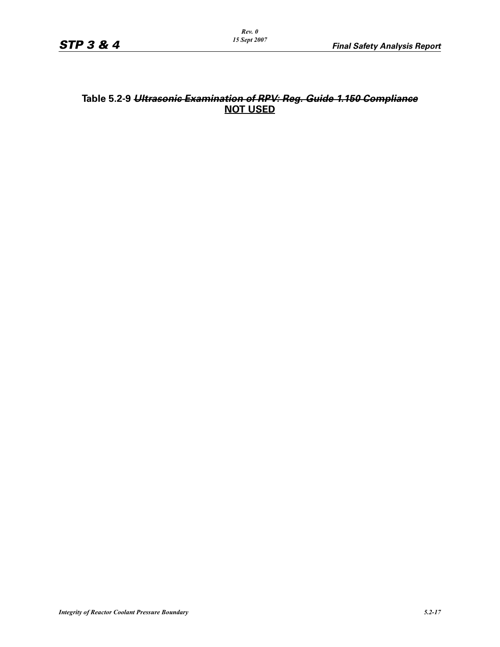# **Table 5.2-9** *Ultrasonic Examination of RPV: Reg. Guide 1.150 Compliance* **NOT USED**